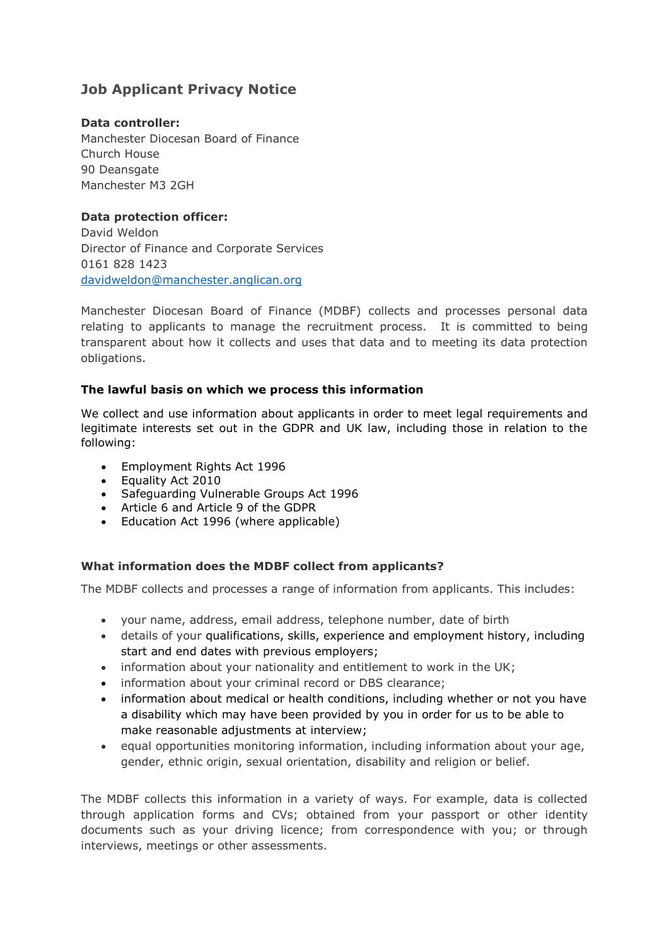# **Job Applicant Privacy Notice**

## **Data controller:**

Manchester Diocesan Board of Finance Church House 90 Deansgate Manchester M3 2GH

**Data protection officer:**  David Weldon Director of Finance and Corporate Services 0161 828 1423 [davidweldon@manchester.anglican.org](mailto:davidweldon@manchester.anglican.org)

Manchester Diocesan Board of Finance (MDBF) collects and processes personal data relating to applicants to manage the recruitment process. It is committed to being transparent about how it collects and uses that data and to meeting its data protection obligations.

## **The lawful basis on which we process this information**

We collect and use information about applicants in order to meet legal requirements and legitimate interests set out in the GDPR and UK law, including those in relation to the following:

- Employment Rights Act 1996
- Equality Act 2010
- Safeguarding Vulnerable Groups Act 1996
- Article 6 and Article 9 of the GDPR
- Education Act 1996 (where applicable)

## **What information does the MDBF collect from applicants?**

The MDBF collects and processes a range of information from applicants. This includes:

- your name, address, email address, telephone number, date of birth
- details of your qualifications, skills, experience and employment history, including start and end dates with previous employers;
- information about your nationality and entitlement to work in the UK;
- information about your criminal record or DBS clearance;
- information about medical or health conditions, including whether or not you have a disability which may have been provided by you in order for us to be able to make reasonable adjustments at interview;
- equal opportunities monitoring information, including information about your age, gender, ethnic origin, sexual orientation, disability and religion or belief.

The MDBF collects this information in a variety of ways. For example, data is collected through application forms and CVs; obtained from your passport or other identity documents such as your driving licence; from correspondence with you; or through interviews, meetings or other assessments.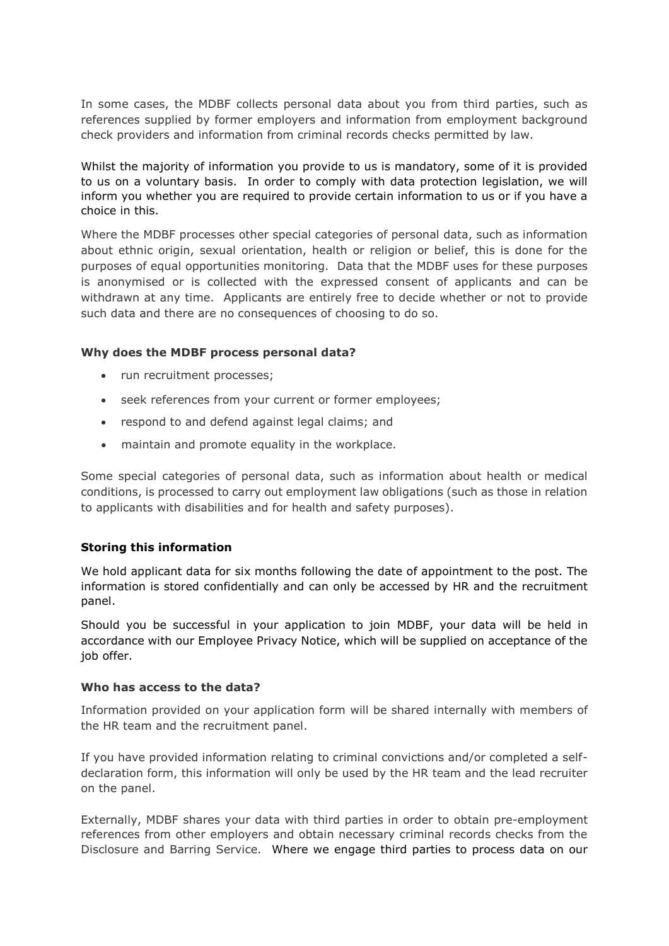In some cases, the MDBF collects personal data about you from third parties, such as references supplied by former employers and information from employment background check providers and information from criminal records checks permitted by law.

Whilst the majority of information you provide to us is mandatory, some of it is provided to us on a voluntary basis. In order to comply with data protection legislation, we will inform you whether you are required to provide certain information to us or if you have a choice in this.

Where the MDBF processes other special categories of personal data, such as information about ethnic origin, sexual orientation, health or religion or belief, this is done for the purposes of equal opportunities monitoring. Data that the MDBF uses for these purposes is anonymised or is collected with the expressed consent of applicants and can be withdrawn at any time. Applicants are entirely free to decide whether or not to provide such data and there are no consequences of choosing to do so.

## **Why does the MDBF process personal data?**

- run recruitment processes;
- seek references from your current or former employees;
- respond to and defend against legal claims; and
- maintain and promote equality in the workplace.

Some special categories of personal data, such as information about health or medical conditions, is processed to carry out employment law obligations (such as those in relation to applicants with disabilities and for health and safety purposes).

## **Storing this information**

We hold applicant data for six months following the date of appointment to the post. The information is stored confidentially and can only be accessed by HR and the recruitment panel.

Should you be successful in your application to join MDBF, your data will be held in accordance with our Employee Privacy Notice, which will be supplied on acceptance of the job offer.

#### **Who has access to the data?**

Information provided on your application form will be shared internally with members of the HR team and the recruitment panel.

If you have provided information relating to criminal convictions and/or completed a selfdeclaration form, this information will only be used by the HR team and the lead recruiter on the panel.

Externally, MDBF shares your data with third parties in order to obtain pre-employment references from other employers and obtain necessary criminal records checks from the Disclosure and Barring Service. Where we engage third parties to process data on our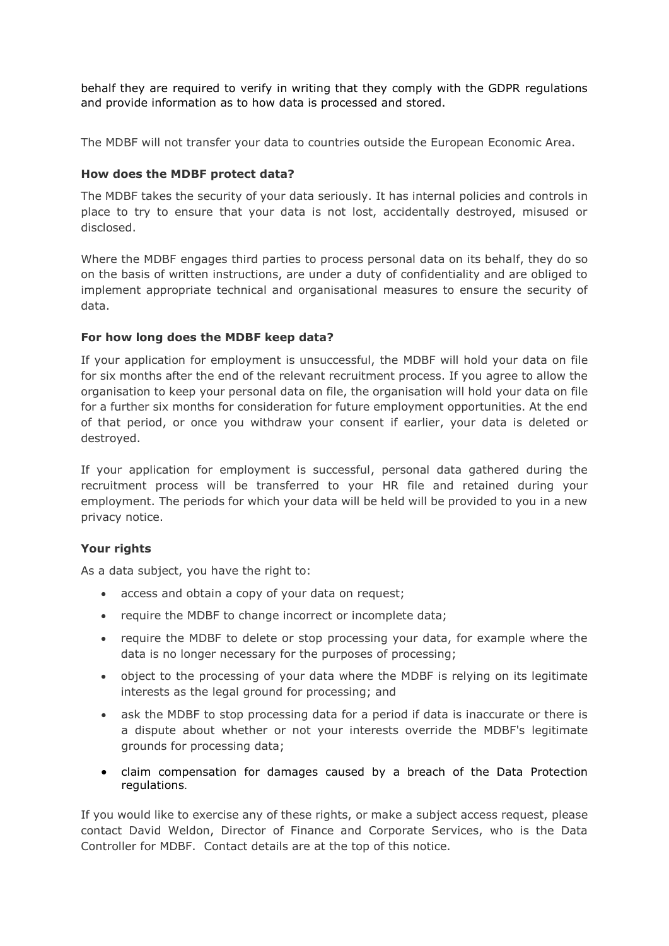behalf they are required to verify in writing that they comply with the GDPR regulations and provide information as to how data is processed and stored.

The MDBF will not transfer your data to countries outside the European Economic Area.

## **How does the MDBF protect data?**

The MDBF takes the security of your data seriously. It has internal policies and controls in place to try to ensure that your data is not lost, accidentally destroyed, misused or disclosed.

Where the MDBF engages third parties to process personal data on its behalf, they do so on the basis of written instructions, are under a duty of confidentiality and are obliged to implement appropriate technical and organisational measures to ensure the security of data.

## **For how long does the MDBF keep data?**

If your application for employment is unsuccessful, the MDBF will hold your data on file for six months after the end of the relevant recruitment process. If you agree to allow the organisation to keep your personal data on file, the organisation will hold your data on file for a further six months for consideration for future employment opportunities. At the end of that period, or once you withdraw your consent if earlier, your data is deleted or destroyed.

If your application for employment is successful, personal data gathered during the recruitment process will be transferred to your HR file and retained during your employment. The periods for which your data will be held will be provided to you in a new privacy notice.

#### **Your rights**

As a data subject, you have the right to:

- access and obtain a copy of your data on request;
- require the MDBF to change incorrect or incomplete data;
- require the MDBF to delete or stop processing your data, for example where the data is no longer necessary for the purposes of processing;
- object to the processing of your data where the MDBF is relying on its legitimate interests as the legal ground for processing; and
- ask the MDBF to stop processing data for a period if data is inaccurate or there is a dispute about whether or not your interests override the MDBF's legitimate grounds for processing data;
- claim compensation for damages caused by a breach of the Data Protection regulations.

If you would like to exercise any of these rights, or make a subject access request, please contact David Weldon, Director of Finance and Corporate Services, who is the Data Controller for MDBF. Contact details are at the top of this notice.